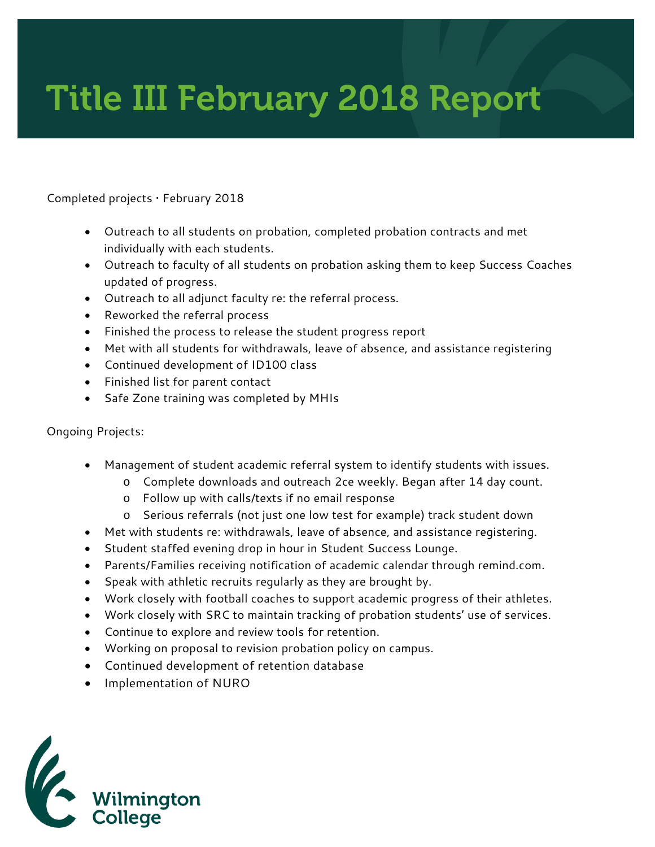# Title III February 2018 Report

#### Completed projects • February 2018

- Outreach to all students on probation, completed probation contracts and met individually with each students.
- Outreach to faculty of all students on probation asking them to keep Success Coaches updated of progress.
- Outreach to all adjunct faculty re: the referral process.
- Reworked the referral process
- Finished the process to release the student progress report
- Met with all students for withdrawals, leave of absence, and assistance registering
- Continued development of ID100 class
- Finished list for parent contact
- Safe Zone training was completed by MHIs

#### Ongoing Projects:

- Management of student academic referral system to identify students with issues.
	- o Complete downloads and outreach 2ce weekly. Began after 14 day count.
	- o Follow up with calls/texts if no email response
	- o Serious referrals (not just one low test for example) track student down
- Met with students re: withdrawals, leave of absence, and assistance registering.
- Student staffed evening drop in hour in Student Success Lounge.
- Parents/Families receiving notification of academic calendar through remind.com.
- Speak with athletic recruits regularly as they are brought by.
- Work closely with football coaches to support academic progress of their athletes.
- Work closely with SRC to maintain tracking of probation students' use of services.
- Continue to explore and review tools for retention.
- Working on proposal to revision probation policy on campus.
- Continued development of retention database
- Implementation of NURO

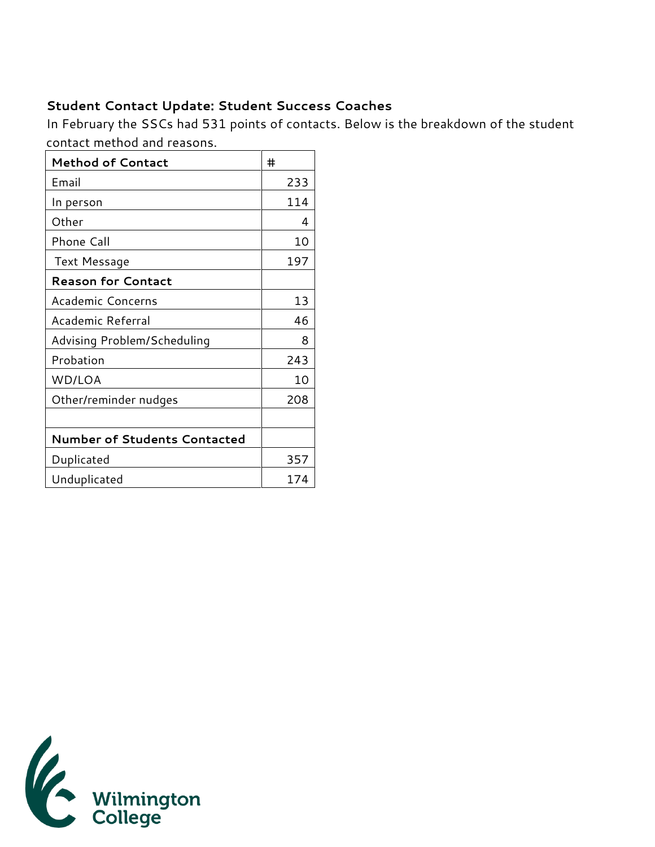## **Student Contact Update: Student Success Coaches**

In February the SSCs had 531 points of contacts. Below is the breakdown of the student contact method and reasons.

| <b>Method of Contact</b>            | #   |
|-------------------------------------|-----|
| Email                               | 233 |
| In person                           | 114 |
| Other                               | 4   |
| <b>Phone Call</b>                   | 10  |
| Text Message                        | 197 |
| <b>Reason for Contact</b>           |     |
| Academic Concerns                   | 13  |
| Academic Referral                   | 46  |
| Advising Problem/Scheduling         | 8   |
| Probation                           | 243 |
| WD/LOA                              | 10  |
| Other/reminder nudges               | 208 |
|                                     |     |
| <b>Number of Students Contacted</b> |     |
| Duplicated                          | 357 |
| Unduplicated                        | 174 |